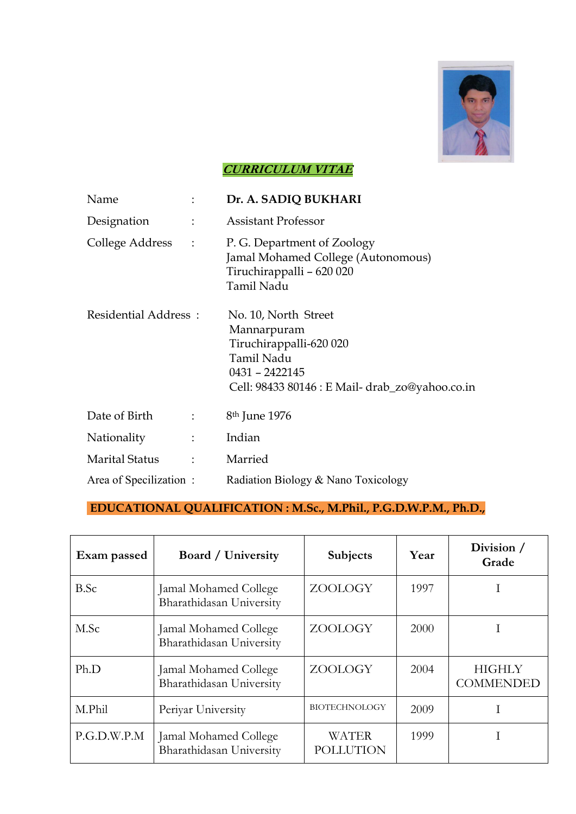

## **CURRICULUM VITAE**

| Name                   |                      | Dr. A. SADIQ BUKHARI                                                                                                                              |
|------------------------|----------------------|---------------------------------------------------------------------------------------------------------------------------------------------------|
| Designation            | $\ddot{\cdot}$       | <b>Assistant Professor</b>                                                                                                                        |
| College Address        | $\ddot{\cdot}$       | P. G. Department of Zoology<br>Jamal Mohamed College (Autonomous)<br>Tiruchirappalli - 620 020<br>Tamil Nadu                                      |
| Residential Address:   |                      | No. 10, North Street<br>Mannarpuram<br>Tiruchirappalli-620 020<br>Tamil Nadu<br>0431 - 2422145<br>Cell: 98433 80146 : E Mail- drab_zo@yahoo.co.in |
| Date of Birth          | $\ddot{\cdot}$       | 8 <sup>th</sup> June 1976                                                                                                                         |
| Nationality            | ÷                    | Indian                                                                                                                                            |
| <b>Marital Status</b>  | $\ddot{\phantom{a}}$ | Married                                                                                                                                           |
| Area of Specilization: |                      | Radiation Biology & Nano Toxicology                                                                                                               |

## **EDUCATIONAL QUALIFICATION : M.Sc., M.Phil., P.G.D.W.P.M., Ph.D.,**

| Exam passed | <b>Board</b> / University                         | <b>Subjects</b>                  | Year | Division /<br>Grade               |
|-------------|---------------------------------------------------|----------------------------------|------|-----------------------------------|
| B.Sc        | Jamal Mohamed College<br>Bharathidasan University | ZOOLOGY                          | 1997 |                                   |
| M.Sc        | Jamal Mohamed College<br>Bharathidasan University | ZOOLOGY                          | 2000 |                                   |
| Ph.D        | Jamal Mohamed College<br>Bharathidasan University | ZOOLOGY                          | 2004 | <b>HIGHLY</b><br><b>COMMENDED</b> |
| M.Phil      | Periyar University                                | <b>BIOTECHNOLOGY</b>             | 2009 |                                   |
| P.G.D.W.P.M | Jamal Mohamed College<br>Bharathidasan University | <b>WATER</b><br><b>POLLUTION</b> | 1999 |                                   |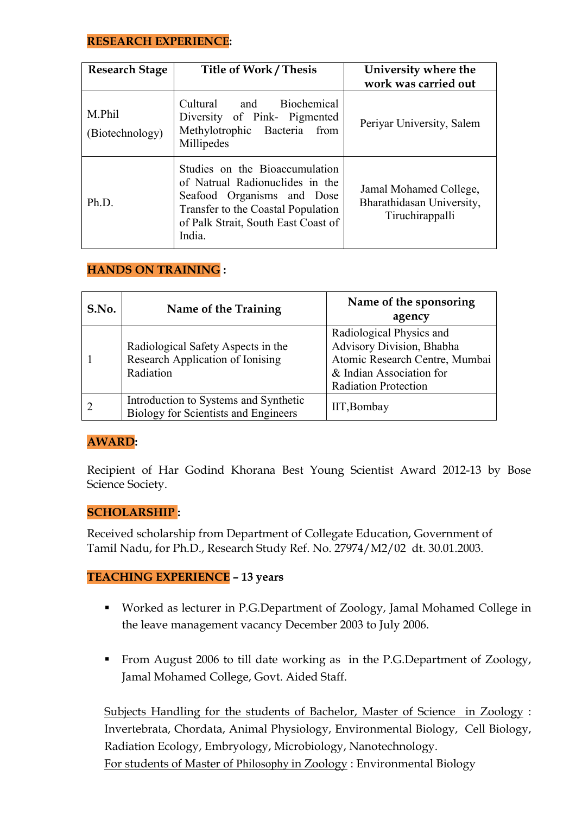## **RESEARCH EXPERIENCE:**

| <b>Research Stage</b>     | <b>Title of Work / Thesis</b>                                                                                                                                                          | University where the<br>work was carried out                           |
|---------------------------|----------------------------------------------------------------------------------------------------------------------------------------------------------------------------------------|------------------------------------------------------------------------|
| M.Phil<br>(Biotechnology) | Biochemical<br>Cultural and<br>Diversity of Pink- Pigmented<br>Methylotrophic Bacteria<br>from<br>Millipedes                                                                           | Periyar University, Salem                                              |
| Ph.D.                     | Studies on the Bioaccumulation<br>of Natrual Radionuclides in the<br>Seafood Organisms and Dose<br>Transfer to the Coastal Population<br>of Palk Strait, South East Coast of<br>India. | Jamal Mohamed College,<br>Bharathidasan University,<br>Tiruchirappalli |

## **HANDS ON TRAINING :**

| S.No. | Name of the Training                                                                 | Name of the sponsoring<br>agency                                                                                                                   |
|-------|--------------------------------------------------------------------------------------|----------------------------------------------------------------------------------------------------------------------------------------------------|
|       | Radiological Safety Aspects in the<br>Research Application of Ionising<br>Radiation  | Radiological Physics and<br>Advisory Division, Bhabha<br>Atomic Research Centre, Mumbai<br>& Indian Association for<br><b>Radiation Protection</b> |
|       | Introduction to Systems and Synthetic<br><b>Biology for Scientists and Engineers</b> | IIT, Bombay                                                                                                                                        |

## **AWARD:**

Recipient of Har Godind Khorana Best Young Scientist Award 2012-13 by Bose Science Society.

#### **SCHOLARSHIP :**

Received scholarship from Department of Collegate Education, Government of Tamil Nadu, for Ph.D., Research Study Ref. No. 27974/M2/02 dt. 30.01.2003.

## **TEACHING EXPERIENCE – 13 years**

- Worked as lecturer in P.G.Department of Zoology, Jamal Mohamed College in the leave management vacancy December 2003 to July 2006.
- From August 2006 to till date working as in the P.G.Department of Zoology, Jamal Mohamed College, Govt. Aided Staff.

Subjects Handling for the students of Bachelor, Master of Science in Zoology : Invertebrata, Chordata, Animal Physiology, Environmental Biology, Cell Biology, Radiation Ecology, Embryology, Microbiology, Nanotechnology. For students of Master of Philosophy in Zoology : Environmental Biology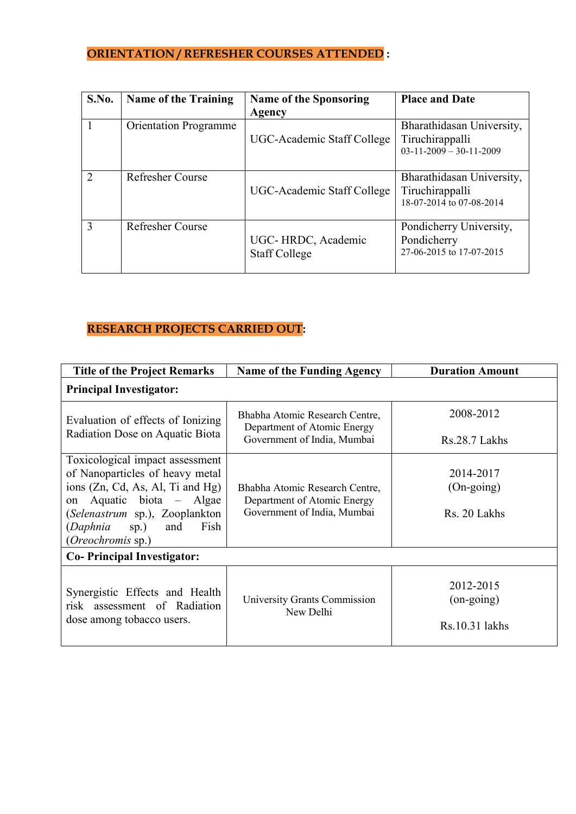# **ORIENTATION / REFRESHER COURSES ATTENDED :**

| S.No.                  | <b>Name of the Training</b>  | <b>Name of the Sponsoring</b><br>Agency    | <b>Place and Date</b>                                                    |
|------------------------|------------------------------|--------------------------------------------|--------------------------------------------------------------------------|
|                        | <b>Orientation Programme</b> | UGC-Academic Staff College                 | Bharathidasan University,<br>Tiruchirappalli<br>$03-11-2009-30-11-2009$  |
| $\mathcal{D}_{\alpha}$ | <b>Refresher Course</b>      | UGC-Academic Staff College                 | Bharathidasan University,<br>Tiruchirappalli<br>18-07-2014 to 07-08-2014 |
| $\mathcal{E}$          | Refresher Course             | UGC-HRDC, Academic<br><b>Staff College</b> | Pondicherry University,<br>Pondicherry<br>27-06-2015 to 17-07-2015       |

# **RESEARCH PROJECTS CARRIED OUT:**

| <b>Title of the Project Remarks</b>                                 | <b>Name of the Funding Agency</b>                                                            | <b>Duration Amount</b> |  |  |
|---------------------------------------------------------------------|----------------------------------------------------------------------------------------------|------------------------|--|--|
| <b>Principal Investigator:</b>                                      |                                                                                              |                        |  |  |
| Evaluation of effects of Ionizing                                   | Bhabha Atomic Research Centre,<br>Department of Atomic Energy                                | 2008-2012              |  |  |
| Radiation Dose on Aquatic Biota                                     | Government of India, Mumbai                                                                  | Rs.28.7 Lakhs          |  |  |
| Toxicological impact assessment                                     |                                                                                              |                        |  |  |
| of Nanoparticles of heavy metal<br>ions (Zn, Cd, As, Al, Ti and Hg) |                                                                                              | 2014-2017              |  |  |
| Aquatic biota – Algae<br>on                                         | Bhabha Atomic Research Centre,<br>Department of Atomic Energy<br>Government of India, Mumbai | $(On\text{-going})$    |  |  |
| (Selenastrum sp.), Zooplankton                                      |                                                                                              | Rs. 20 Lakhs           |  |  |
| $sp.$ )<br>Fish<br>(Daphnia<br>and                                  |                                                                                              |                        |  |  |
| (Oreochromis sp.)                                                   |                                                                                              |                        |  |  |
| <b>Co-Principal Investigator:</b>                                   |                                                                                              |                        |  |  |
|                                                                     |                                                                                              | 2012-2015              |  |  |
| Synergistic Effects and Health                                      | University Grants Commission                                                                 | $(on-going)$           |  |  |
| risk assessment of Radiation                                        | New Delhi                                                                                    |                        |  |  |
| dose among tobacco users.                                           |                                                                                              | Rs.10.31 lakhs         |  |  |
|                                                                     |                                                                                              |                        |  |  |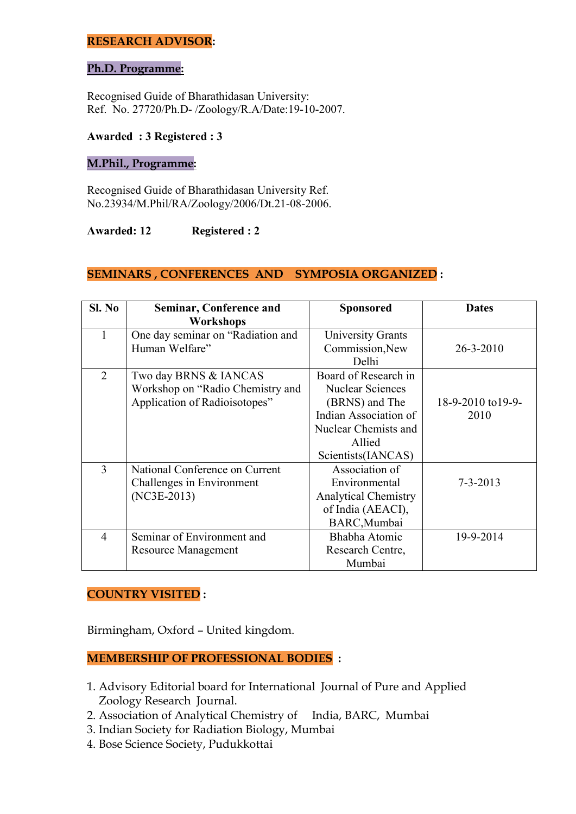#### **RESEARCH ADVISOR:**

#### **Ph.D. Programme:**

Recognised Guide of Bharathidasan University: Ref. No. 27720/Ph.D- /Zoology/R.A/Date:19-10-2007.

#### **Awarded : 3 Registered : 3**

#### **M.Phil., Programme:**

Recognised Guide of Bharathidasan University Ref. No.23934/M.Phil/RA/Zoology/2006/Dt.21-08-2006.

#### **Awarded: 12 Registered : 2**

#### **SEMINARS , CONFERENCES AND SYMPOSIA ORGANIZED :**

| SI. No         | Seminar, Conference and<br>Workshops | <b>Sponsored</b>            | <b>Dates</b>       |
|----------------|--------------------------------------|-----------------------------|--------------------|
|                | One day seminar on "Radiation and    | <b>University Grants</b>    |                    |
|                | Human Welfare"                       | Commission, New             | $26 - 3 - 2010$    |
|                |                                      | Delhi                       |                    |
| $\overline{2}$ | Two day BRNS & IANCAS                | Board of Research in        |                    |
|                | Workshop on "Radio Chemistry and     | <b>Nuclear Sciences</b>     |                    |
|                | Application of Radioisotopes"        | (BRNS) and The              | 18-9-2010 to 19-9- |
|                |                                      | Indian Association of       | 2010               |
|                |                                      | Nuclear Chemists and        |                    |
|                |                                      | Allied                      |                    |
|                |                                      | Scientists(IANCAS)          |                    |
| 3              | National Conference on Current       | Association of              |                    |
|                | Challenges in Environment            | Environmental               | $7 - 3 - 2013$     |
|                | $(NC3E-2013)$                        | <b>Analytical Chemistry</b> |                    |
|                |                                      | of India (AEACI),           |                    |
|                |                                      | BARC, Mumbai                |                    |
| $\overline{4}$ | Seminar of Environment and           | Bhabha Atomic               | 19-9-2014          |
|                | Resource Management                  | Research Centre,            |                    |
|                |                                      | Mumbai                      |                    |

#### **COUNTRY VISITED :**

Birmingham, Oxford – United kingdom.

#### **MEMBERSHIP OF PROFESSIONAL BODIES :**

- 1. Advisory Editorial board for International Journal of Pure and Applied Zoology Research Journal.
- 2. Association of Analytical Chemistry of India, BARC, Mumbai
- 3. Indian Society for Radiation Biology, Mumbai
- 4. Bose Science Society, Pudukkottai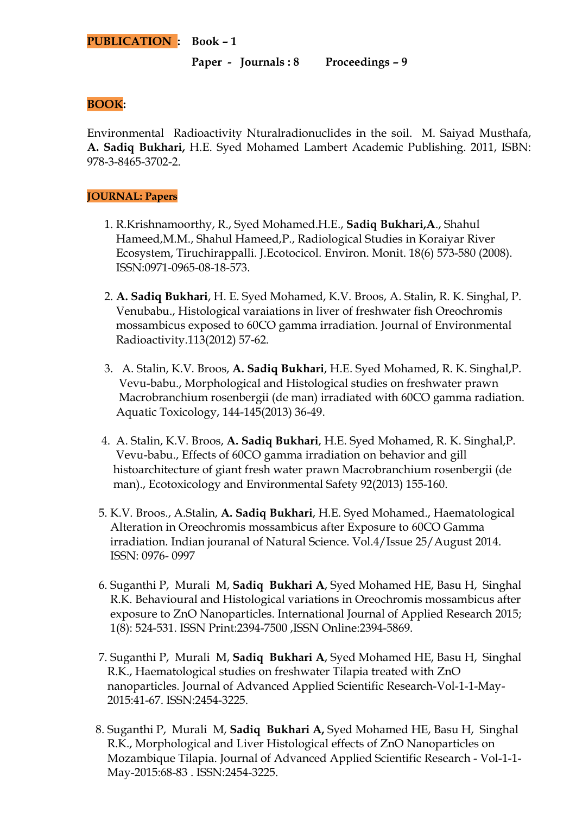**Paper - Journals : 8 Proceedings – 9**

### **BOOK:**

Environmental Radioactivity Nturalradionuclides in the soil. M. Saiyad Musthafa, **A. Sadiq Bukhari,** H.E. Syed Mohamed Lambert Academic Publishing. 2011, ISBN: 978-3-8465-3702-2.

#### **JOURNAL: Papers**

- 1. R.Krishnamoorthy, R., Syed Mohamed.H.E., **Sadiq Bukhari,A**., Shahul Hameed,M.M., Shahul Hameed,P., Radiological Studies in Koraiyar River Ecosystem, Tiruchirappalli. J.Ecotocicol. Environ. Monit. 18(6) 573-580 (2008). ISSN:0971-0965-08-18-573.
- 2. **A. Sadiq Bukhari**, H. E. Syed Mohamed, K.V. Broos, A. Stalin, R. K. Singhal, P. Venubabu., Histological varaiations in liver of freshwater fish Oreochromis mossambicus exposed to 60CO gamma irradiation. Journal of Environmental Radioactivity.113(2012) 57-62.
- 3. A. Stalin, K.V. Broos, **A. Sadiq Bukhari**, H.E. Syed Mohamed, R. K. Singhal,P. Vevu-babu., Morphological and Histological studies on freshwater prawn Macrobranchium rosenbergii (de man) irradiated with 60CO gamma radiation. Aquatic Toxicology, 144-145(2013) 36-49.
- 4. A. Stalin, K.V. Broos, **A. Sadiq Bukhari**, H.E. Syed Mohamed, R. K. Singhal,P. Vevu-babu., Effects of 60CO gamma irradiation on behavior and gill histoarchitecture of giant fresh water prawn Macrobranchium rosenbergii (de man)., Ecotoxicology and Environmental Safety 92(2013) 155-160.
- 5. K.V. Broos., A.Stalin, **A. Sadiq Bukhari**, H.E. Syed Mohamed., Haematological Alteration in Oreochromis mossambicus after Exposure to 60CO Gamma irradiation. Indian jouranal of Natural Science. Vol.4/Issue 25/August 2014. ISSN: 0976- 0997
- 6. Suganthi P, Murali M, **Sadiq Bukhari A**, Syed Mohamed HE, Basu H, Singhal R.K. Behavioural and Histological variations in Oreochromis mossambicus after exposure to ZnO Nanoparticles. International Journal of Applied Research 2015; 1(8): 524-531. ISSN Print:2394-7500 ,ISSN Online:2394-5869.
- 7. Suganthi P, Murali M, **Sadiq Bukhari A**, Syed Mohamed HE, Basu H, Singhal R.K., Haematological studies on freshwater Tilapia treated with ZnO nanoparticles. Journal of Advanced Applied Scientific Research-Vol-1-1-May- 2015:41-67. ISSN:2454-3225.
- 8. Suganthi P, Murali M, **Sadiq Bukhari A,** Syed Mohamed HE, Basu H, Singhal R.K., Morphological and Liver Histological effects of ZnO Nanoparticles on Mozambique Tilapia. Journal of Advanced Applied Scientific Research - Vol-1-1- May-2015:68-83 . ISSN:2454-3225.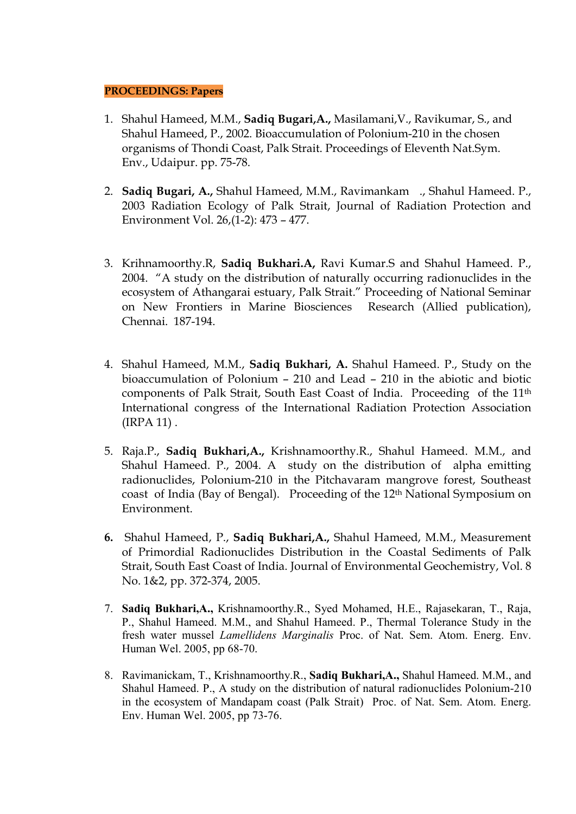#### **PROCEEDINGS: Papers**

- 1. Shahul Hameed, M.M., **Sadiq Bugari,A.,** Masilamani,V., Ravikumar, S., and Shahul Hameed, P., 2002. Bioaccumulation of Polonium-210 in the chosen organisms of Thondi Coast, Palk Strait. Proceedings of Eleventh Nat.Sym. Env., Udaipur. pp. 75-78.
- 2. **Sadiq Bugari, A.,** Shahul Hameed, M.M., Ravimankam ., Shahul Hameed. P., 2003 Radiation Ecology of Palk Strait, Journal of Radiation Protection and Environment Vol. 26,(1-2): 473 – 477.
- 3. Krihnamoorthy.R, **Sadiq Bukhari.A,** Ravi Kumar.S and Shahul Hameed. P., 2004. "A study on the distribution of naturally occurring radionuclides in the ecosystem of Athangarai estuary, Palk Strait." Proceeding of National Seminar on New Frontiers in Marine Biosciences Research (Allied publication), Chennai. 187-194.
- 4. Shahul Hameed, M.M., **Sadiq Bukhari, A.** Shahul Hameed. P., Study on the bioaccumulation of Polonium – 210 and Lead – 210 in the abiotic and biotic components of Palk Strait, South East Coast of India. Proceeding of the 11th International congress of the International Radiation Protection Association (IRPA 11) .
- 5. Raja.P., **Sadiq Bukhari,A.,** Krishnamoorthy.R., Shahul Hameed. M.M., and Shahul Hameed. P., 2004. A study on the distribution of alpha emitting radionuclides, Polonium-210 in the Pitchavaram mangrove forest, Southeast coast of India (Bay of Bengal). Proceeding of the 12th National Symposium on Environment.
- **6.** Shahul Hameed, P., **Sadiq Bukhari,A.,** Shahul Hameed, M.M., Measurement of Primordial Radionuclides Distribution in the Coastal Sediments of Palk Strait, South East Coast of India. Journal of Environmental Geochemistry, Vol. 8 No. 1&2, pp. 372-374, 2005.
- 7. **Sadiq Bukhari,A.,** Krishnamoorthy.R., Syed Mohamed, H.E., Rajasekaran, T., Raja, P., Shahul Hameed. M.M., and Shahul Hameed. P., Thermal Tolerance Study in the fresh water mussel *Lamellidens Marginalis* Proc. of Nat. Sem. Atom. Energ. Env. Human Wel. 2005, pp 68-70.
- 8. Ravimanickam, T., Krishnamoorthy.R., **Sadiq Bukhari,A.,** Shahul Hameed. M.M., and Shahul Hameed. P., A study on the distribution of natural radionuclides Polonium-210 in the ecosystem of Mandapam coast (Palk Strait) Proc. of Nat. Sem. Atom. Energ. Env. Human Wel. 2005, pp 73-76.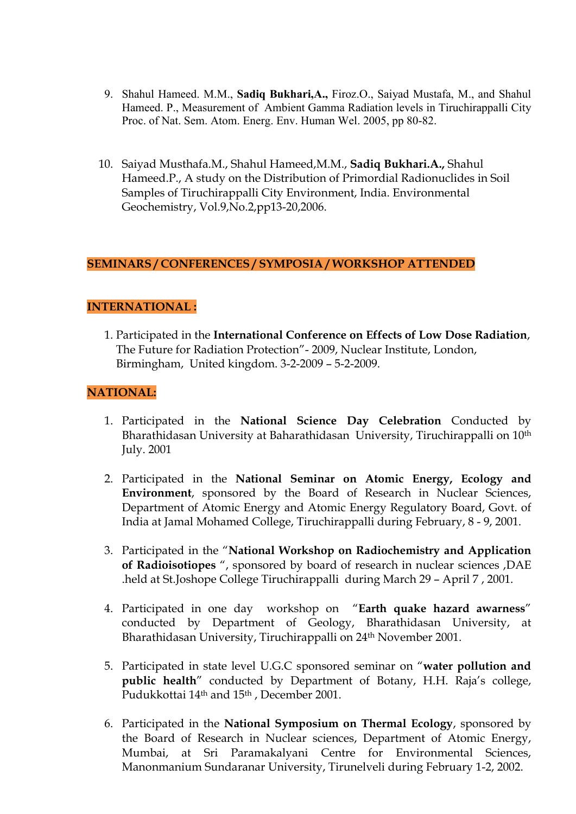- 9. Shahul Hameed. M.M., **Sadiq Bukhari,A.,** Firoz.O., Saiyad Mustafa, M., and Shahul Hameed. P., Measurement of Ambient Gamma Radiation levels in Tiruchirappalli City Proc. of Nat. Sem. Atom. Energ. Env. Human Wel. 2005, pp 80-82.
- 10. Saiyad Musthafa.M., Shahul Hameed,M.M., **Sadiq Bukhari.A.,** Shahul Hameed.P., A study on the Distribution of Primordial Radionuclides in Soil Samples of Tiruchirappalli City Environment, India. Environmental Geochemistry, Vol.9,No.2,pp13-20,2006.

#### **SEMINARS / CONFERENCES / SYMPOSIA / WORKSHOP ATTENDED**

### **INTERNATIONAL :**

 1. Participated in the **International Conference on Effects of Low Dose Radiation**, The Future for Radiation Protection"- 2009, Nuclear Institute, London, Birmingham, United kingdom. 3-2-2009 – 5-2-2009.

#### **NATIONAL:**

- 1. Participated in the **National Science Day Celebration** Conducted by Bharathidasan University at Baharathidasan University, Tiruchirappalli on 10th July. 2001
- 2. Participated in the **National Seminar on Atomic Energy, Ecology and Environment**, sponsored by the Board of Research in Nuclear Sciences, Department of Atomic Energy and Atomic Energy Regulatory Board, Govt. of India at Jamal Mohamed College, Tiruchirappalli during February, 8 - 9, 2001.
- 3. Participated in the "**National Workshop on Radiochemistry and Application of Radioisotiopes** ", sponsored by board of research in nuclear sciences ,DAE .held at St.Joshope College Tiruchirappalli during March 29 – April 7 , 2001.
- 4. Participated in one day workshop on "**Earth quake hazard awarness**" conducted by Department of Geology, Bharathidasan University, at Bharathidasan University, Tiruchirappalli on 24th November 2001.
- 5. Participated in state level U.G.C sponsored seminar on "**water pollution and public health**" conducted by Department of Botany, H.H. Raja's college, Pudukkottai 14<sup>th</sup> and 15<sup>th</sup>, December 2001.
- 6. Participated in the **National Symposium on Thermal Ecology**, sponsored by the Board of Research in Nuclear sciences, Department of Atomic Energy, Mumbai, at Sri Paramakalyani Centre for Environmental Sciences, Manonmanium Sundaranar University, Tirunelveli during February 1-2, 2002.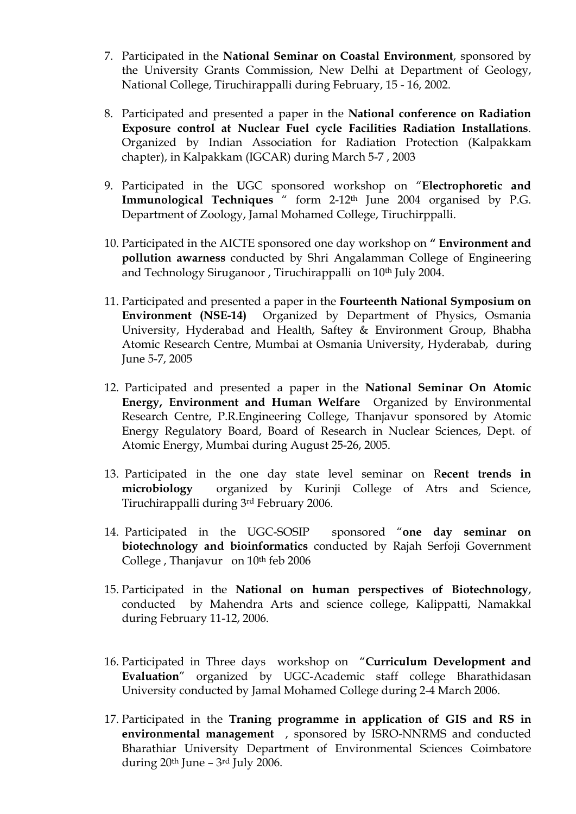- 7. Participated in the **National Seminar on Coastal Environment**, sponsored by the University Grants Commission, New Delhi at Department of Geology, National College, Tiruchirappalli during February, 15 - 16, 2002.
- 8. Participated and presented a paper in the **National conference on Radiation Exposure control at Nuclear Fuel cycle Facilities Radiation Installations**. Organized by Indian Association for Radiation Protection (Kalpakkam chapter), in Kalpakkam (IGCAR) during March 5-7 , 2003
- 9. Participated in the **U**GC sponsored workshop on "**Electrophoretic and Immunological Techniques** " form 2-12th June 2004 organised by P.G. Department of Zoology, Jamal Mohamed College, Tiruchirppalli.
- 10. Participated in the AICTE sponsored one day workshop on **" Environment and pollution awarness** conducted by Shri Angalamman College of Engineering and Technology Siruganoor, Tiruchirappalli on 10<sup>th</sup> July 2004.
- 11. Participated and presented a paper in the **Fourteenth National Symposium on Environment (NSE-14)** Organized by Department of Physics, Osmania University, Hyderabad and Health, Saftey & Environment Group, Bhabha Atomic Research Centre, Mumbai at Osmania University, Hyderabab, during June 5-7, 2005
- 12. Participated and presented a paper in the **National Seminar On Atomic Energy, Environment and Human Welfare** Organized by Environmental Research Centre, P.R.Engineering College, Thanjavur sponsored by Atomic Energy Regulatory Board, Board of Research in Nuclear Sciences, Dept. of Atomic Energy, Mumbai during August 25-26, 2005.
- 13. Participated in the one day state level seminar on R**ecent trends in microbiology** organized by Kurinji College of Atrs and Science, Tiruchirappalli during 3rd February 2006.
- 14. Participated in the UGC-SOSIP sponsored "**one day seminar on biotechnology and bioinformatics** conducted by Rajah Serfoji Government College , Thanjavur on 10th feb 2006
- 15. Participated in the **National on human perspectives of Biotechnology**, conducted by Mahendra Arts and science college, Kalippatti, Namakkal during February 11-12, 2006.
- 16. Participated in Three days workshop on "**Curriculum Development and Evaluation**" organized by UGC-Academic staff college Bharathidasan University conducted by Jamal Mohamed College during 2-4 March 2006.
- 17. Participated in the **Traning programme in application of GIS and RS in environmental management** , sponsored by ISRO-NNRMS and conducted Bharathiar University Department of Environmental Sciences Coimbatore during  $20<sup>th</sup>$  June –  $3<sup>rd</sup>$  July 2006.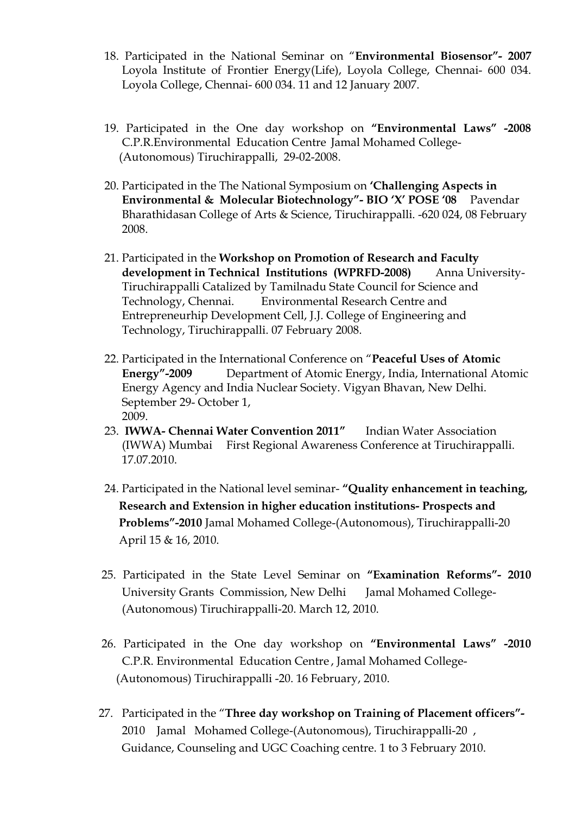- 18. Participated in the National Seminar on "**Environmental Biosensor"- 2007** Loyola Institute of Frontier Energy(Life), Loyola College, Chennai- 600 034. Loyola College, Chennai- 600 034. 11 and 12 January 2007.
- 19. Participated in the One day workshop on **"Environmental Laws" -2008** C.P.R.Environmental Education Centre Jamal Mohamed College- (Autonomous) Tiruchirappalli, 29-02-2008.
- 20. Participated in the The National Symposium on **'Challenging Aspects in Environmental & Molecular Biotechnology"- BIO 'X' POSE '08** Pavendar Bharathidasan College of Arts & Science, Tiruchirappalli. -620 024, 08 February 2008.
- 21. Participated in the **Workshop on Promotion of Research and Faculty development in Technical Institutions (WPRFD-2008)** Anna University- Tiruchirappalli Catalized by Tamilnadu State Council for Science and Technology, Chennai. Environmental Research Centre and Entrepreneurhip Development Cell, J.J. College of Engineering and Technology, Tiruchirappalli. 07 February 2008.
- 22. Participated in the International Conference on "**Peaceful Uses of Atomic Energy"-2009** Department of Atomic Energy, India, International Atomic Energy Agency and India Nuclear Society. Vigyan Bhavan, New Delhi. September 29- October 1, 2009.
- 23. **IWWA- Chennai Water Convention 2011"** Indian Water Association (IWWA) Mumbai First Regional Awareness Conference at Tiruchirappalli. 17.07.2010.
- 24. Participated in the National level seminar- **"Quality enhancement in teaching, Research and Extension in higher education institutions- Prospects and Problems"-2010** Jamal Mohamed College-(Autonomous), Tiruchirappalli-20 April 15 & 16, 2010.
- 25. Participated in the State Level Seminar on **"Examination Reforms"- 2010** University Grants Commission, New Delhi Jamal Mohamed College- (Autonomous) Tiruchirappalli-20. March 12, 2010.
- 26. Participated in the One day workshop on **"Environmental Laws" -2010** C.P.R. Environmental Education Centre , Jamal Mohamed College- (Autonomous) Tiruchirappalli -20. 16 February, 2010.
- 27. Participated in the "**Three day workshop on Training of Placement officers"-** 2010 Jamal Mohamed College-(Autonomous), Tiruchirappalli-20 , Guidance, Counseling and UGC Coaching centre. 1 to 3 February 2010.